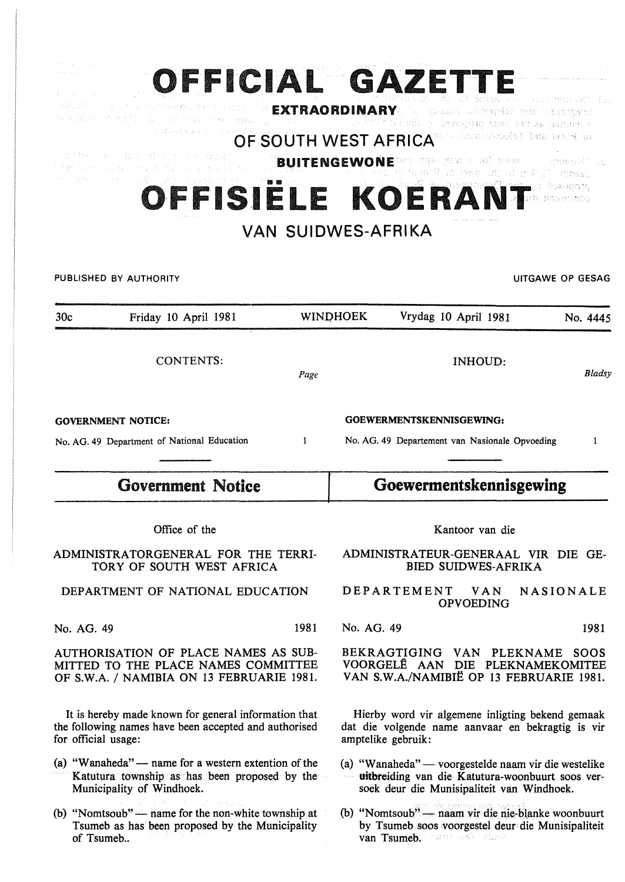|                                                                                                                                                                                                                                                                     | OFFICIAL GAZETTE<br>ata dinamita masili yake sekali mkuu mwa 1999.                                                                                    |                                                                                                                             |                                                                                                                                                        | EXTRAORDINARY A ROLLON DEMONSTRATION OF RECEIVED                                                                                                    | sturiometri Offi |
|---------------------------------------------------------------------------------------------------------------------------------------------------------------------------------------------------------------------------------------------------------------------|-------------------------------------------------------------------------------------------------------------------------------------------------------|-----------------------------------------------------------------------------------------------------------------------------|--------------------------------------------------------------------------------------------------------------------------------------------------------|-----------------------------------------------------------------------------------------------------------------------------------------------------|------------------|
| My Descripting need 23d as consolers if<br>s Roman and Tehroman Roman<br>OF SOUTH WEST AFRICA<br><b>BUITENGEWONE</b> BOS dealers and spare a linear skill<br>tonell is resound of ma if voman<br>○諸侯 (1992年10月11日)<br>OFFISIELE KOERAI<br><b>VAN SUIDWES-AFRIKA</b> |                                                                                                                                                       |                                                                                                                             |                                                                                                                                                        |                                                                                                                                                     |                  |
|                                                                                                                                                                                                                                                                     | PUBLISHED BY AUTHORITY                                                                                                                                |                                                                                                                             |                                                                                                                                                        |                                                                                                                                                     | UITGAWE OP GESAG |
| 30 <sub>c</sub>                                                                                                                                                                                                                                                     | Friday 10 April 1981                                                                                                                                  |                                                                                                                             | WINDHOEK                                                                                                                                               | Vrydag 10 April 1981                                                                                                                                | No. 4445         |
|                                                                                                                                                                                                                                                                     | <b>CONTENTS:</b>                                                                                                                                      | Page                                                                                                                        |                                                                                                                                                        | <b>INHOUD:</b>                                                                                                                                      | Bladsy           |
| <b>GOVERNMENT NOTICE:</b><br>No. AG. 49 Department of National Education<br>1                                                                                                                                                                                       |                                                                                                                                                       |                                                                                                                             | GOEWERMENTSKENNISGEWING:<br>No. AG. 49 Departement van Nasionale Opvoeding<br>-1                                                                       |                                                                                                                                                     |                  |
| <b>Government Notice</b>                                                                                                                                                                                                                                            |                                                                                                                                                       |                                                                                                                             | Goewermentskennisgewing                                                                                                                                |                                                                                                                                                     |                  |
|                                                                                                                                                                                                                                                                     | Office of the<br>ADMINISTRATORGENERAL FOR THE TERRI-<br>TORY OF SOUTH WEST AFRICA                                                                     |                                                                                                                             |                                                                                                                                                        | Kantoor van die<br>ADMINISTRATEUR-GENERAAL VIR DIE GE-<br><b>BIED SUIDWES-AFRIKA</b>                                                                |                  |
| DEPARTMENT OF NATIONAL EDUCATION                                                                                                                                                                                                                                    |                                                                                                                                                       |                                                                                                                             | DEPARTEMENT VAN<br><b>NASIONALE</b><br><b>OPVOEDING</b>                                                                                                |                                                                                                                                                     |                  |
| No. AG. 49                                                                                                                                                                                                                                                          |                                                                                                                                                       | 1981                                                                                                                        | No. AG. 49                                                                                                                                             |                                                                                                                                                     | 1981             |
| AUTHORISATION OF PLACE NAMES AS SUB-<br>MITTED TO THE PLACE NAMES COMMITTEE<br>OF S.W.A. / NAMIBIA ON 13 FEBRUARIE 1981.                                                                                                                                            |                                                                                                                                                       | BEKRAGTIGING VAN PLEKNAME SOOS<br>VOORGELÊ AAN DIE PLEKNAMEKOMITEE<br>VAN S.W.A./NAMIBIË OP 13 FEBRUARIE 1981.              |                                                                                                                                                        |                                                                                                                                                     |                  |
| It is hereby made known for general information that<br>the following names have been accepted and authorised<br>for official usage:                                                                                                                                |                                                                                                                                                       | Hierby word vir algemene inligting bekend gemaak<br>dat die volgende name aanvaar en bekragtig is vir<br>amptelike gebruik: |                                                                                                                                                        |                                                                                                                                                     |                  |
| (a) "Wanaheda" — name for a western extention of the<br>Katutura township as has been proposed by the<br>Municipality of Windhoek.                                                                                                                                  |                                                                                                                                                       |                                                                                                                             | (a) "Wanaheda" — voorgestelde naam vir die westelike<br>uitbreiding van die Katutura-woonbuurt soos ver-<br>soek deur die Munisipaliteit van Windhoek. |                                                                                                                                                     |                  |
| of Tsumeb                                                                                                                                                                                                                                                           | AC 最新完成 #300 (100) 2000 2000<br>(b) "Nomtsoub" $\leftharpoonup$ name for the non-white township at<br>Tsumeb as has been proposed by the Municipality |                                                                                                                             |                                                                                                                                                        | (b) "Nomtsoub" $\frac{1}{2}$ naam vir die nie-blanke woonbuurt<br>by Tsumeb soos voorgestel deur die Munisipaliteit<br>van Tsumeb. Wassenship Pages |                  |